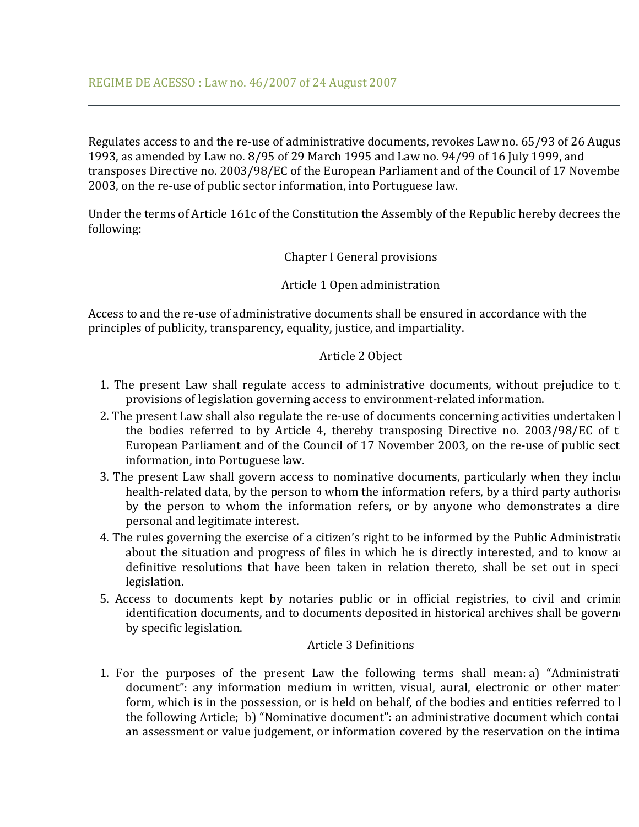Regulates access to and the re-use of administrative documents, revokes Law no. 65/93 of 26 Augus 1993, as amended by Law no.  $8/95$  of 29 March 1995 and Law no.  $94/99$  of 16 July 1999, and transposes Directive no. 2003/98/EC of the European Parliament and of the Council of 17 Novembe 2003, on the re-use of public sector information, into Portuguese law.

Under the terms of Article 161c of the Constitution the Assembly of the Republic hereby decrees the following:

Chapter I General provisions

Article 1 Open administration

Access to and the re-use of administrative documents shall be ensured in accordance with the principles of publicity, transparency, equality, justice, and impartiality.

#### Article 2 Object

- 1. The present Law shall regulate access to administrative documents, without prejudice to the provisions of legislation governing access to environment-related information.
- 2. The present Law shall also regulate the re-use of documents concerning activities undertaken  $\vert$ the bodies referred to by Article 4, thereby transposing Directive no.  $2003/98/EC$  of the European Parliament and of the Council of 17 November 2003, on the re-use of public sect information, into Portuguese law.
- 3. The present Law shall govern access to nominative documents, particularly when they include health-related data, by the person to whom the information refers, by a third party authorise by the person to whom the information refers, or by anyone who demonstrates a dire personal and legitimate interest.
- 4. The rules governing the exercise of a citizen's right to be informed by the Public Administration about the situation and progress of files in which he is directly interested, and to know an definitive resolutions that have been taken in relation thereto, shall be set out in specific legislation.
- 5. Access to documents kept by notaries public or in official registries, to civil and crimin identification documents, and to documents deposited in historical archives shall be governed by specific legislation.

#### Article 3 Definitions

1. For the purposes of the present Law the following terms shall mean: a) "Administratignt document": any information medium in written, visual, aural, electronic or other materi form, which is in the possession, or is held on behalf, of the bodies and entities referred to  $\vert$ the following Article; b) "Nominative document": an administrative document which contain an assessment or value judgement, or information covered by the reservation on the intima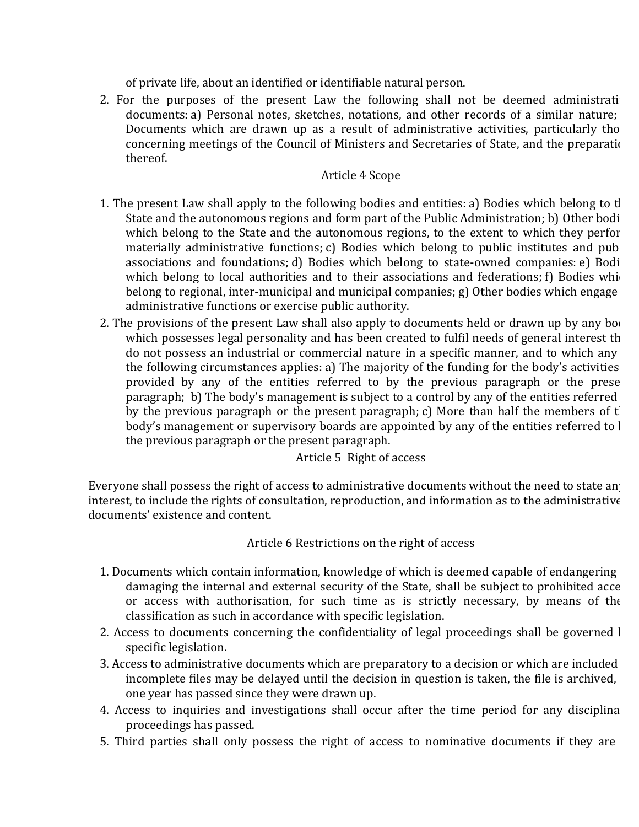of private life, about an identified or identifiable natural person.

2. For the purposes of the present Law the following shall not be deemed administrati documents: a) Personal notes, sketches, notations, and other records of a similar nature; Documents which are drawn up as a result of administrative activities, particularly tho concerning meetings of the Council of Ministers and Secretaries of State, and the preparation thereof.

## Article 4 Scope

- 1. The present Law shall apply to the following bodies and entities: a) Bodies which belong to the State and the autonomous regions and form part of the Public Administration; b) Other bodi which belong to the State and the autonomous regions, to the extent to which they perfor materially administrative functions; c) Bodies which belong to public institutes and publeassociations and foundations; d) Bodies which belong to state-owned companies: e) Bodi which belong to local authorities and to their associations and federations; f) Bodies which belong to regional, inter-municipal and municipal companies; g) Other bodies which engage administrative functions or exercise public authority.
- 2. The provisions of the present Law shall also apply to documents held or drawn up by any bod which possesses legal personality and has been created to fulfil needs of general interest th do not possess an industrial or commercial nature in a specific manner, and to which any the following circumstances applies: a) The majority of the funding for the body's activities provided by any of the entities referred to by the previous paragraph or the prese paragraph; b) The body's management is subject to a control by any of the entities referred by the previous paragraph or the present paragraph; c) More than half the members of the body's management or supervisory boards are appointed by any of the entities referred to  $\mathbf b$ the previous paragraph or the present paragraph.

Article 5 Right of access

Everyone shall possess the right of access to administrative documents without the need to state an interest, to include the rights of consultation, reproduction, and information as to the administrative documents' existence and content.

Article 6 Restrictions on the right of access

- 1. Documents which contain information, knowledge of which is deemed capable of endangering damaging the internal and external security of the State, shall be subject to prohibited acce or access with authorisation, for such time as is strictly necessary, by means of the classification as such in accordance with specific legislation.
- 2. Access to documents concerning the confidentiality of legal proceedings shall be governed  $\mathbf b$ specific legislation.
- 3. Access to administrative documents which are preparatory to a decision or which are included incomplete files may be delayed until the decision in question is taken, the file is archived, one year has passed since they were drawn up.
- 4. Access to inquiries and investigations shall occur after the time period for any disciplina proceedings has passed.
- 5. Third parties shall only possess the right of access to nominative documents if they are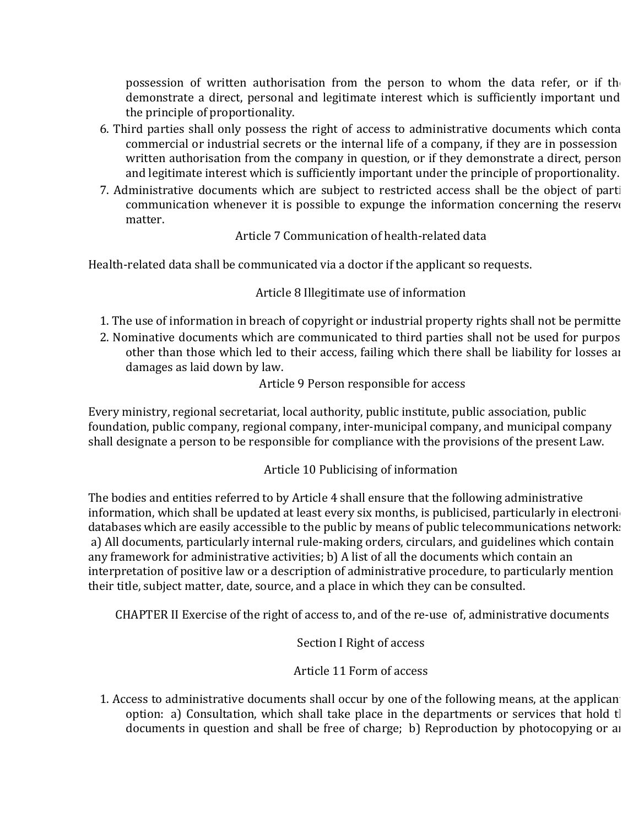possession of written authorisation from the person to whom the data refer, or if the demonstrate a direct, personal and legitimate interest which is sufficiently important und the principle of proportionality.

- 6. Third parties shall only possess the right of access to administrative documents which contain commercial or industrial secrets or the internal life of a company, if they are in possession written authorisation from the company in question, or if they demonstrate a direct, person and legitimate interest which is sufficiently important under the principle of proportionality.
- 7. Administrative documents which are subject to restricted access shall be the object of parti communication whenever it is possible to expunge the information concerning the reserve matter.

Article 7 Communication of health-related data

Health-related data shall be communicated via a doctor if the applicant so requests.

Article 8 Illegitimate use of information

- 1. The use of information in breach of copyright or industrial property rights shall not be permitte
- 2. Nominative documents which are communicated to third parties shall not be used for purpos other than those which led to their access, failing which there shall be liability for losses an damages as laid down by law.

Article 9 Person responsible for access

Every ministry, regional secretariat, local authority, public institute, public association, public foundation, public company, regional company, inter-municipal company, and municipal company shall designate a person to be responsible for compliance with the provisions of the present Law.

Article 10 Publicising of information

The bodies and entities referred to by Article 4 shall ensure that the following administrative information, which shall be updated at least every six months, is publicised, particularly in electronic databases which are easily accessible to the public by means of public telecommunications network: a) All documents, particularly internal rule-making orders, circulars, and guidelines which contain any framework for administrative activities; b) A list of all the documents which contain an interpretation of positive law or a description of administrative procedure, to particularly mention their title, subject matter, date, source, and a place in which they can be consulted.

CHAPTER II Exercise of the right of access to, and of the re-use of, administrative documents

Section I Right of access

Article 11 Form of access

1. Access to administrative documents shall occur by one of the following means, at the applicant option: a) Consultation, which shall take place in the departments or services that hold the documents in question and shall be free of charge; b) Reproduction by photocopying or an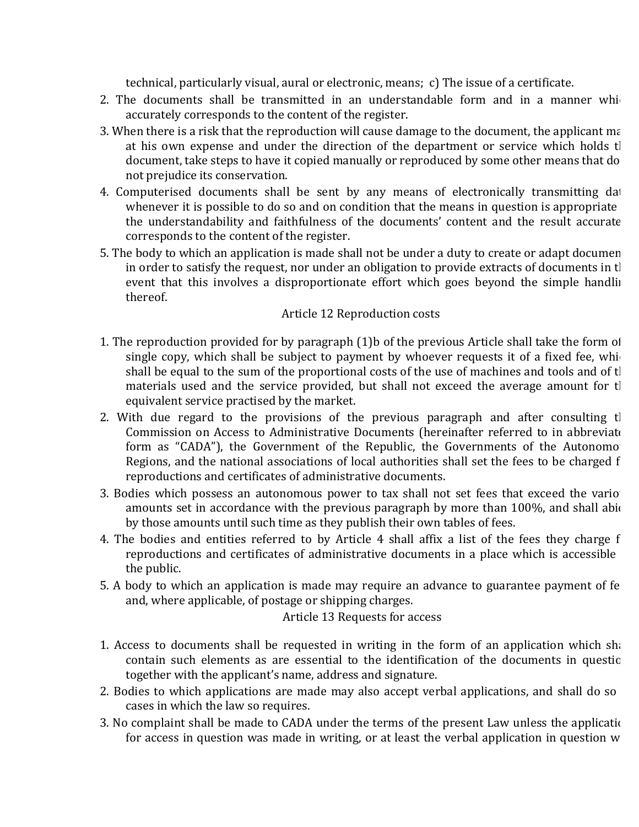technical, particularly visual, aural or electronic, means;  $c$ ) The issue of a certificate.

- 2. The documents shall be transmitted in an understandable form and in a manner whi accurately corresponds to the content of the register.
- 3. When there is a risk that the reproduction will cause damage to the document, the applicant  $m\epsilon$ at his own expense and under the direction of the department or service which holds the document, take steps to have it copied manually or reproduced by some other means that do not prejudice its conservation.
- 4. Computerised documents shall be sent by any means of electronically transmitting dat whenever it is possible to do so and on condition that the means in question is appropriate the understandability and faithfulness of the documents' content and the result accurate corresponds to the content of the register.
- 5. The body to which an application is made shall not be under a duty to create or adapt documen in order to satisfy the request, nor under an obligation to provide extracts of documents in the event that this involves a disproportionate effort which goes beyond the simple handling thereof.

#### Article 12 Reproduction costs

- 1. The reproduction provided for by paragraph  $(1)$ b of the previous Article shall take the form of single copy, which shall be subject to payment by whoever requests it of a fixed fee, whi shall be equal to the sum of the proportional costs of the use of machines and tools and of the materials used and the service provided, but shall not exceed the average amount for the equivalent service practised by the market.
- 2. With due regard to the provisions of the previous paragraph and after consulting  $t$ Commission on Access to Administrative Documents (hereinafter referred to in abbreviate form as "CADA"), the Government of the Republic, the Governments of the Autonomo Regions, and the national associations of local authorities shall set the fees to be charged f reproductions and certificates of administrative documents.
- 3. Bodies which possess an autonomous power to tax shall not set fees that exceed the variour amounts set in accordance with the previous paragraph by more than  $100\%$ , and shall abid by those amounts until such time as they publish their own tables of fees.
- 4. The bodies and entities referred to by Article 4 shall affix a list of the fees they charge f reproductions and certificates of administrative documents in a place which is accessible the public.
- 5. A body to which an application is made may require an advance to guarantee payment of fe and, where applicable, of postage or shipping charges.

Article 13 Requests for access

- 1. Access to documents shall be requested in writing in the form of an application which shall contain such elements as are essential to the identification of the documents in questic together with the applicant's name, address and signature.
- 2. Bodies to which applications are made may also accept verbal applications, and shall do so cases in which the law so requires.
- 3. No complaint shall be made to CADA under the terms of the present Law unless the application for access in question was made in writing, or at least the verbal application in question  $w$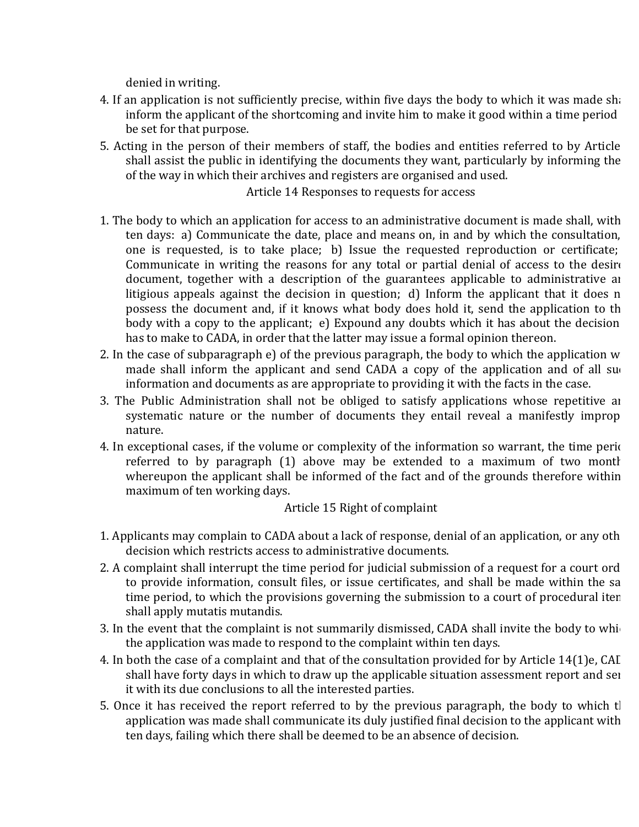denied in writing.

- 4. If an application is not sufficiently precise, within five days the body to which it was made shall inform the applicant of the shortcoming and invite him to make it good within a time period be set for that purpose.
- 5. Acting in the person of their members of staff, the bodies and entities referred to by Article shall assist the public in identifying the documents they want, particularly by informing the of the way in which their archives and registers are organised and used.

Article 14 Responses to requests for access

- 1. The body to which an application for access to an administrative document is made shall, with ten days: a) Communicate the date, place and means on, in and by which the consultation, one is requested, is to take place; b) Issue the requested reproduction or certificate; Communicate in writing the reasons for any total or partial denial of access to the desire document, together with a description of the guarantees applicable to administrative an litigious appeals against the decision in question; d) Inform the applicant that it does n possess the document and, if it knows what body does hold it, send the application to th body with a copy to the applicant; e) Expound any doubts which it has about the decision has to make to CADA, in order that the latter may issue a formal opinion thereon.
- 2. In the case of subparagraph e) of the previous paragraph, the body to which the application w made shall inform the applicant and send CADA a copy of the application and of all such information and documents as are appropriate to providing it with the facts in the case.
- 3. The Public Administration shall not be obliged to satisfy applications whose repetitive and systematic nature or the number of documents they entail reveal a manifestly improp nature.
- 4. In exceptional cases, if the volume or complexity of the information so warrant, the time period referred to by paragraph  $(1)$  above may be extended to a maximum of two month whereupon the applicant shall be informed of the fact and of the grounds therefore within maximum of ten working days.

### Article 15 Right of complaint

- 1. Applicants may complain to CADA about a lack of response, denial of an application, or any oth decision which restricts access to administrative documents.
- 2. A complaint shall interrupt the time period for judicial submission of a request for a court ord to provide information, consult files, or issue certificates, and shall be made within the sa time period, to which the provisions governing the submission to a court of procedural iter shall apply mutatis mutandis.
- 3. In the event that the complaint is not summarily dismissed, CADA shall invite the body to whi the application was made to respond to the complaint within ten days.
- 4. In both the case of a complaint and that of the consultation provided for by Article 14(1)e, CAI shall have forty days in which to draw up the applicable situation assessment report and sen it with its due conclusions to all the interested parties.
- 5. Once it has received the report referred to by the previous paragraph, the body to which the application was made shall communicate its duly justified final decision to the applicant with ten days, failing which there shall be deemed to be an absence of decision.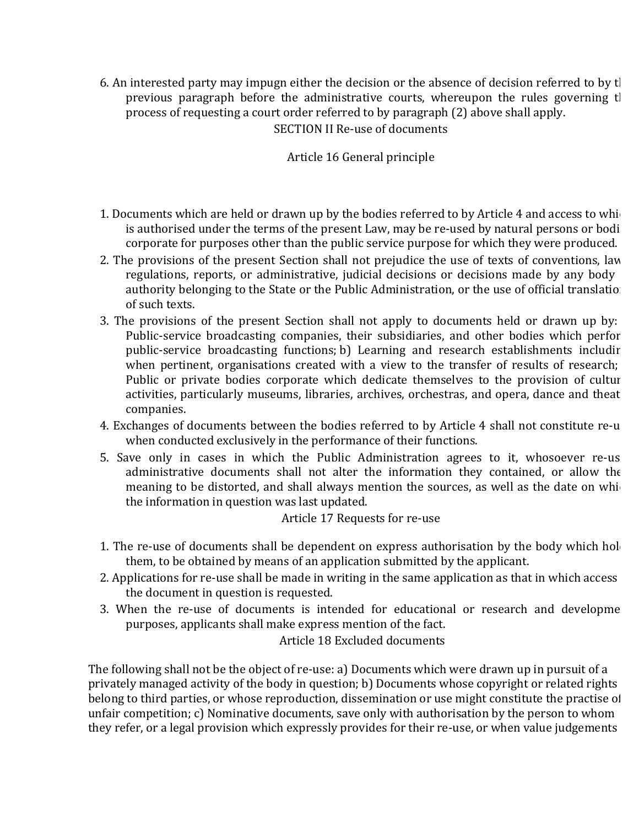6. An interested party may impugn either the decision or the absence of decision referred to by the previous paragraph before the administrative courts, whereupon the rules governing  $t$ process of requesting a court order referred to by paragraph (2) above shall apply.

SECTION II Re-use of documents

Article 16 General principle

- 1. Documents which are held or drawn up by the bodies referred to by Article 4 and access to whiis authorised under the terms of the present Law, may be re-used by natural persons or bodi corporate for purposes other than the public service purpose for which they were produced.
- 2. The provisions of the present Section shall not prejudice the use of texts of conventions, law regulations, reports, or administrative, judicial decisions or decisions made by any body authority belonging to the State or the Public Administration, or the use of official translation of such texts.
- 3. The provisions of the present Section shall not apply to documents held or drawn up by: Public-service broadcasting companies, their subsidiaries, and other bodies which perfor public-service broadcasting functions; b) Learning and research establishments includir when pertinent, organisations created with a view to the transfer of results of research; Public or private bodies corporate which dedicate themselves to the provision of cultur activities, particularly museums, libraries, archives, orchestras, and opera, dance and theat companies.
- 4. Exchanges of documents between the bodies referred to by Article 4 shall not constitute re-u when conducted exclusively in the performance of their functions.
- 5. Save only in cases in which the Public Administration agrees to it, whosoever re-us administrative documents shall not alter the information they contained, or allow the meaning to be distorted, and shall always mention the sources, as well as the date on whi the information in question was last updated.

Article 17 Requests for re-use

- 1. The re-use of documents shall be dependent on express authorisation by the body which hole them, to be obtained by means of an application submitted by the applicant.
- 2. Applications for re-use shall be made in writing in the same application as that in which access the document in question is requested.
- 3. When the re-use of documents is intended for educational or research and developme purposes, applicants shall make express mention of the fact.

Article 18 Excluded documents

The following shall not be the object of re-use: a) Documents which were drawn up in pursuit of a privately managed activity of the body in question; b) Documents whose copyright or related rights belong to third parties, or whose reproduction, dissemination or use might constitute the practise of unfair competition;  $c$ ) Nominative documents, save only with authorisation by the person to whom they refer, or a legal provision which expressly provides for their re-use, or when value judgements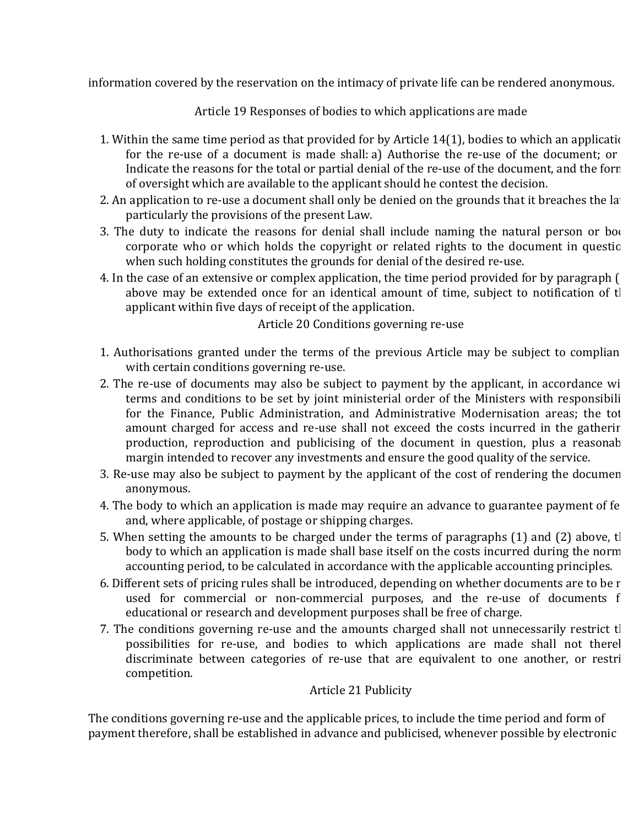information covered by the reservation on the intimacy of private life can be rendered anonymous.

Article 19 Responses of bodies to which applications are made

- 1. Within the same time period as that provided for by Article  $14(1)$ , bodies to which an application for the re-use of a document is made shall: a) Authorise the re-use of the document; or Indicate the reasons for the total or partial denial of the re-use of the document, and the forr of oversight which are available to the applicant should he contest the decision.
- 2. An application to re-use a document shall only be denied on the grounds that it breaches the la particularly the provisions of the present Law.
- 3. The duty to indicate the reasons for denial shall include naming the natural person or bod corporate who or which holds the copyright or related rights to the document in questic when such holding constitutes the grounds for denial of the desired re-use.
- 4. In the case of an extensive or complex application, the time period provided for by paragraph ( above may be extended once for an identical amount of time, subject to notification of tl applicant within five days of receipt of the application.

Article 20 Conditions governing re-use

- 1. Authorisations granted under the terms of the previous Article may be subject to complian with certain conditions governing re-use.
- 2. The re-use of documents may also be subject to payment by the applicant, in accordance wi terms and conditions to be set by joint ministerial order of the Ministers with responsibili for the Finance, Public Administration, and Administrative Modernisation areas; the tot amount charged for access and re-use shall not exceed the costs incurred in the gathering production, reproduction and publicising of the document in question, plus a reasonab margin intended to recover any investments and ensure the good quality of the service.
- 3. Re-use may also be subject to payment by the applicant of the cost of rendering the documen anonymous.
- 4. The body to which an application is made may require an advance to guarantee payment of fe and, where applicable, of postage or shipping charges.
- 5. When setting the amounts to be charged under the terms of paragraphs  $(1)$  and  $(2)$  above, the body to which an application is made shall base itself on the costs incurred during the norm accounting period, to be calculated in accordance with the applicable accounting principles.
- 6. Different sets of pricing rules shall be introduced, depending on whether documents are to be r used for commercial or non-commercial purposes, and the re-use of documents f educational or research and development purposes shall be free of charge.
- 7. The conditions governing re-use and the amounts charged shall not unnecessarily restrict  $t$ possibilities for re-use, and bodies to which applications are made shall not therel discriminate between categories of re-use that are equivalent to one another, or restri competition.

## Article 21 Publicity

The conditions governing re-use and the applicable prices, to include the time period and form of payment therefore, shall be established in advance and publicised, whenever possible by electronic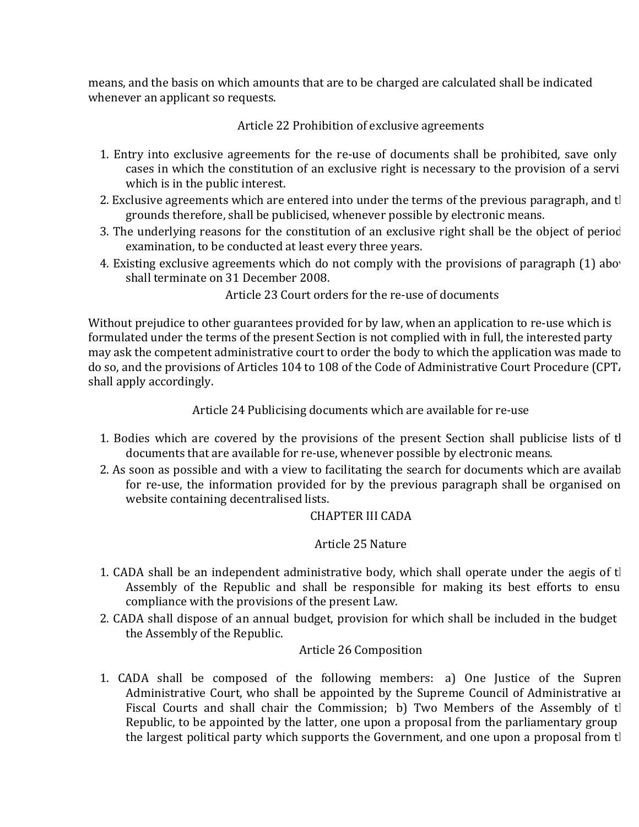means, and the basis on which amounts that are to be charged are calculated shall be indicated whenever an applicant so requests.

Article 22 Prohibition of exclusive agreements

- 1. Entry into exclusive agreements for the re-use of documents shall be prohibited, save only cases in which the constitution of an exclusive right is necessary to the provision of a servicewhich is in the public interest.
- 2. Exclusive agreements which are entered into under the terms of the previous paragraph, and the grounds therefore, shall be publicised, whenever possible by electronic means.
- 3. The underlying reasons for the constitution of an exclusive right shall be the object of perioc examination, to be conducted at least every three years.
- 4. Existing exclusive agreements which do not comply with the provisions of paragraph (1) abo shall terminate on 31 December 2008.

Article 23 Court orders for the re-use of documents

Without prejudice to other guarantees provided for by law, when an application to re-use which is formulated under the terms of the present Section is not complied with in full, the interested party may ask the competent administrative court to order the body to which the application was made to do so, and the provisions of Articles 104 to 108 of the Code of Administrative Court Procedure (CPT. shall apply accordingly.

Article 24 Publicising documents which are available for re-use

- 1. Bodies which are covered by the provisions of the present Section shall publicise lists of the documents that are available for re-use, whenever possible by electronic means.
- 2. As soon as possible and with a view to facilitating the search for documents which are availab for re-use, the information provided for by the previous paragraph shall be organised on website containing decentralised lists.

# CHAPTER III CADA

# Article 25 Nature

- 1. CADA shall be an independent administrative body, which shall operate under the aegis of  $t$ Assembly of the Republic and shall be responsible for making its best efforts to ensure compliance with the provisions of the present Law.
- 2. CADA shall dispose of an annual budget, provision for which shall be included in the budget the Assembly of the Republic.

# Article 26 Composition

1. CADA shall be composed of the following members: a) One Justice of the Supren Administrative Court, who shall be appointed by the Supreme Council of Administrative and Fiscal Courts and shall chair the Commission; b) Two Members of the Assembly of the Republic, to be appointed by the latter, one upon a proposal from the parliamentary group the largest political party which supports the Government, and one upon a proposal from the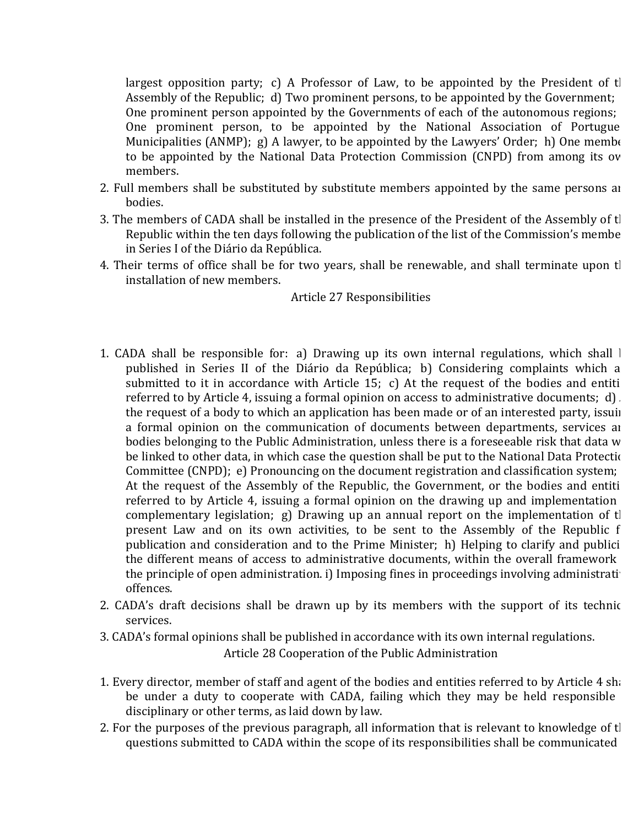largest opposition party; c) A Professor of Law, to be appointed by the President of the Assembly of the Republic; d) Two prominent persons, to be appointed by the Government; One prominent person appointed by the Governments of each of the autonomous regions; One prominent person, to be appointed by the National Association of Portugue Municipalities (ANMP); g) A lawyer, to be appointed by the Lawyers' Order; h) One member to be appointed by the National Data Protection Commission (CNPD) from among its ov members.

- 2. Full members shall be substituted by substitute members appointed by the same persons and bodies.
- 3. The members of CADA shall be installed in the presence of the President of the Assembly of the Republic within the ten days following the publication of the list of the Commission's membe in Series I of the Diário da República.
- 4. Their terms of office shall be for two years, shall be renewable, and shall terminate upon the installation of new members.

#### Article 27 Responsibilities

- 1. CADA shall be responsible for: a) Drawing up its own internal regulations, which shall  $\parallel$ published in Series II of the Diário da República; b) Considering complaints which a submitted to it in accordance with Article  $15$ ; c) At the request of the bodies and entiti referred to by Article 4, issuing a formal opinion on access to administrative documents;  $d$ ) the request of a body to which an application has been made or of an interested party, issuing a formal opinion on the communication of documents between departments, services and bodies belonging to the Public Administration, unless there is a foreseeable risk that data w be linked to other data, in which case the question shall be put to the National Data Protection Committee (CNPD); e) Pronouncing on the document registration and classification system; At the request of the Assembly of the Republic, the Government, or the bodies and entiti referred to by Article 4, issuing a formal opinion on the drawing up and implementation complementary legislation; g) Drawing up an annual report on the implementation of  $t$ present Law and on its own activities, to be sent to the Assembly of the Republic f publication and consideration and to the Prime Minister; h) Helping to clarify and publici the different means of access to administrative documents, within the overall framework the principle of open administration. i) Imposing fines in proceedings involving administratioffences.
- 2. CADA's draft decisions shall be drawn up by its members with the support of its technic services.
- 3. CADA's formal opinions shall be published in accordance with its own internal regulations. Article 28 Cooperation of the Public Administration
- 1. Every director, member of staff and agent of the bodies and entities referred to by Article 4 shall be under a duty to cooperate with CADA, failing which they may be held responsible disciplinary or other terms, as laid down by law.
- 2. For the purposes of the previous paragraph, all information that is relevant to knowledge of  $t$ questions submitted to CADA within the scope of its responsibilities shall be communicated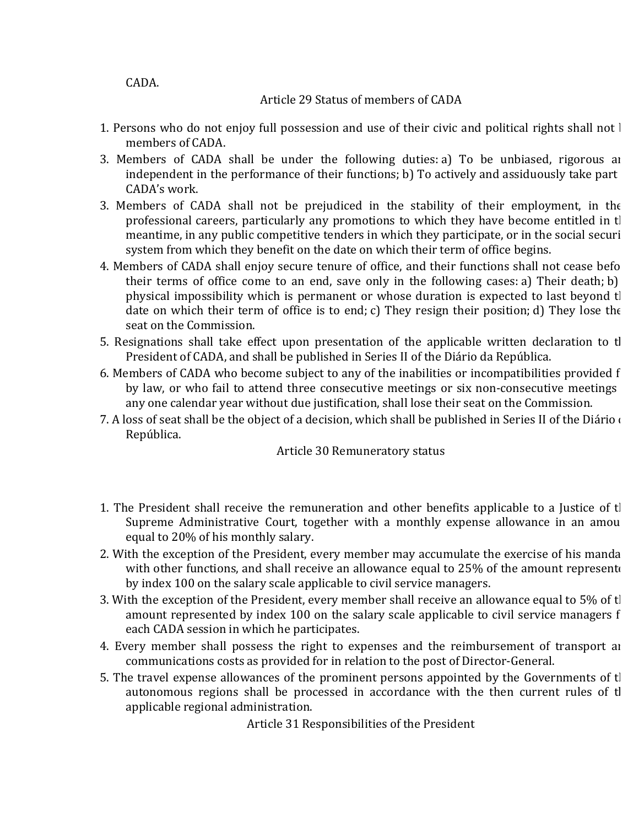CADA.

## Article 29 Status of members of CADA

- 1. Persons who do not enjoy full possession and use of their civic and political rights shall not  $\vert$ members of CADA.
- 3. Members of CADA shall be under the following duties: a) To be unbiased, rigorous an independent in the performance of their functions; b) To actively and assiduously take part CADA's work.
- 3. Members of CADA shall not be prejudiced in the stability of their employment, in the professional careers, particularly any promotions to which they have become entitled in the meantime, in any public competitive tenders in which they participate, or in the social securi system from which they benefit on the date on which their term of office begins.
- 4. Members of CADA shall enjoy secure tenure of office, and their functions shall not cease befo their terms of office come to an end, save only in the following cases: a) Their death; b) physical impossibility which is permanent or whose duration is expected to last beyond the date on which their term of office is to end; c) They resign their position; d) They lose the seat on the Commission.
- 5. Resignations shall take effect upon presentation of the applicable written declaration to the President of CADA, and shall be published in Series II of the Diário da República.
- 6. Members of CADA who become subject to any of the inabilities or incompatibilities provided f by law, or who fail to attend three consecutive meetings or six non-consecutive meetings any one calendar year without due justification, shall lose their seat on the Commission.
- 7. A loss of seat shall be the object of a decision, which shall be published in Series II of the Diário República.

### Article 30 Remuneratory status

- 1. The President shall receive the remuneration and other benefits applicable to a Justice of  $t$ Supreme Administrative Court, together with a monthly expense allowance in an amou equal to 20% of his monthly salary.
- 2. With the exception of the President, every member may accumulate the exercise of his manda with other functions, and shall receive an allowance equal to  $25%$  of the amount represent by index 100 on the salary scale applicable to civil service managers.
- 3. With the exception of the President, every member shall receive an allowance equal to 5% of the amount represented by index 100 on the salary scale applicable to civil service managers f each CADA session in which he participates.
- 4. Every member shall possess the right to expenses and the reimbursement of transport an communications costs as provided for in relation to the post of Director-General.
- 5. The travel expense allowances of the prominent persons appointed by the Governments of  $t$ autonomous regions shall be processed in accordance with the then current rules of tl applicable regional administration.

Article 31 Responsibilities of the President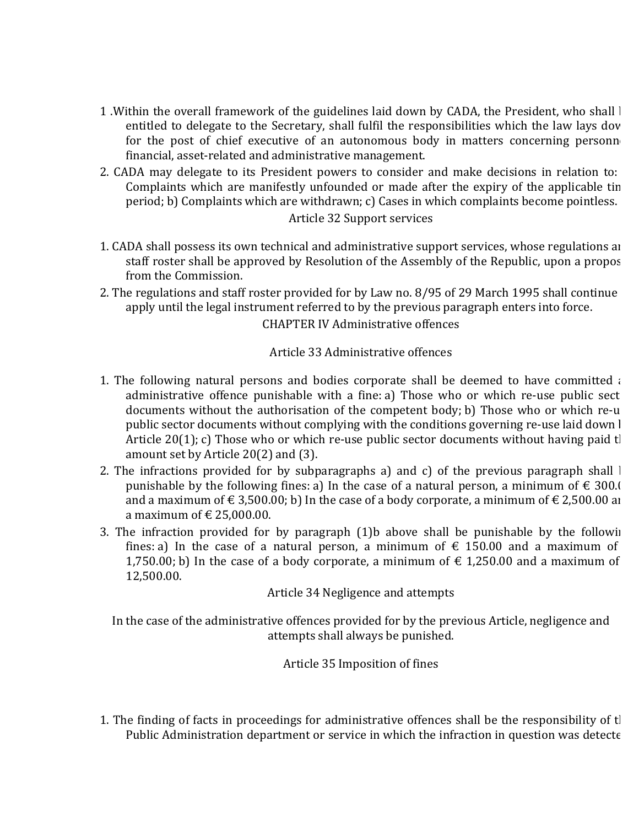- 1. Within the overall framework of the guidelines laid down by CADA, the President, who shall l entitled to delegate to the Secretary, shall fulfil the responsibilities which the law lays dov for the post of chief executive of an autonomous body in matters concerning personnel financial, asset-related and administrative management.
- 2. CADA may delegate to its President powers to consider and make decisions in relation to: Complaints which are manifestly unfounded or made after the expiry of the applicable tin period; b) Complaints which are withdrawn; c) Cases in which complaints become pointless. Article 32 Support services
- 1. CADA shall possess its own technical and administrative support services, whose regulations an staff roster shall be approved by Resolution of the Assembly of the Republic, upon a propos from the Commission.
- 2. The regulations and staff roster provided for by Law no. 8/95 of 29 March 1995 shall continue apply until the legal instrument referred to by the previous paragraph enters into force. CHAPTER IV Administrative offences

### Article 33 Administrative offences

- 1. The following natural persons and bodies corporate shall be deemed to have committed  $\mathbf{a}$ . administrative offence punishable with a fine: a) Those who or which re-use public sect documents without the authorisation of the competent body; b) Those who or which re-u public sector documents without complying with the conditions governing re-use laid down l Article  $20(1)$ ; c) Those who or which re-use public sector documents without having paid the amount set by Article  $20(2)$  and  $(3)$ .
- 2. The infractions provided for by subparagraphs a) and c) of the previous paragraph shall  $\parallel$ punishable by the following fines: a) In the case of a natural person, a minimum of  $\epsilon$  300.000 and a maximum of  $\epsilon$  3,500.00; b) In the case of a body corporate, a minimum of  $\epsilon$  2,500.00 and a maximum of  $\in$  25,000,00.
- 3. The infraction provided for by paragraph  $(1)$ b above shall be punishable by the following fines: a) In the case of a natural person, a minimum of  $\epsilon$  150.00 and a maximum of 1,750.00; b) In the case of a body corporate, a minimum of  $\epsilon$  1,250.00 and a maximum of 12,500.00.

Article 34 Negligence and attempts

In the case of the administrative offences provided for by the previous Article, negligence and attempts shall always be punished.

Article 35 Imposition of fines

1. The finding of facts in proceedings for administrative offences shall be the responsibility of the Public Administration department or service in which the infraction in question was detecte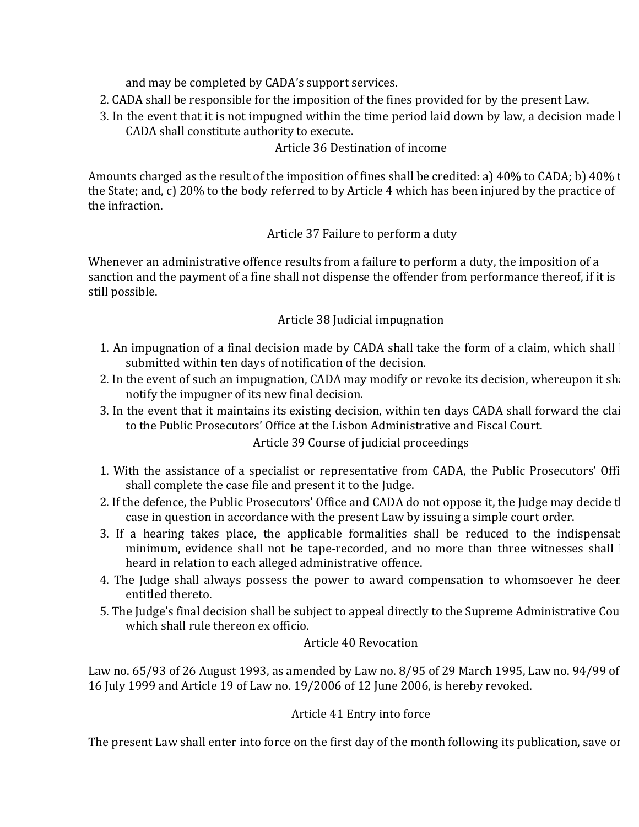and may be completed by CADA's support services.

- 2. CADA shall be responsible for the imposition of the fines provided for by the present Law.
- 3. In the event that it is not impugned within the time period laid down by law, a decision made  $\frac{1}{1}$ CADA shall constitute authority to execute.

Article 36 Destination of income

Amounts charged as the result of the imposition of fines shall be credited: a)  $40\%$  to CADA; b)  $40\%$  t the State; and, c) 20% to the body referred to by Article 4 which has been injured by the practice of the infraction.

Article 37 Failure to perform a duty

Whenever an administrative offence results from a failure to perform a duty, the imposition of a sanction and the payment of a fine shall not dispense the offender from performance thereof, if it is still possible.

# Article 38 Judicial impugnation

- 1. An impugnation of a final decision made by CADA shall take the form of a claim, which shall  $\vert$ submitted within ten days of notification of the decision.
- 2. In the event of such an impugnation, CADA may modify or revoke its decision, whereupon it shall notify the impugner of its new final decision.
- 3. In the event that it maintains its existing decision, within ten days CADA shall forward the clai to the Public Prosecutors' Office at the Lisbon Administrative and Fiscal Court.

Article 39 Course of judicial proceedings

- 1. With the assistance of a specialist or representative from CADA, the Public Prosecutors' Offi shall complete the case file and present it to the Judge.
- 2. If the defence, the Public Prosecutors' Office and CADA do not oppose it, the Judge may decide the case in question in accordance with the present Law by issuing a simple court order.
- 3. If a hearing takes place, the applicable formalities shall be reduced to the indispensab minimum, evidence shall not be tape-recorded, and no more than three witnesses shall  $\vdash$ heard in relation to each alleged administrative offence.
- 4. The Judge shall always possess the power to award compensation to whomsoever he deer entitled thereto.
- 5. The Judge's final decision shall be subject to appeal directly to the Supreme Administrative Cou which shall rule thereon ex officio.

# Article 40 Revocation

Law no. 65/93 of 26 August 1993, as amended by Law no. 8/95 of 29 March 1995, Law no. 94/99 of 16 July 1999 and Article 19 of Law no. 19/2006 of 12 June 2006, is hereby revoked.

# Article 41 Entry into force

The present Law shall enter into force on the first day of the month following its publication, save or